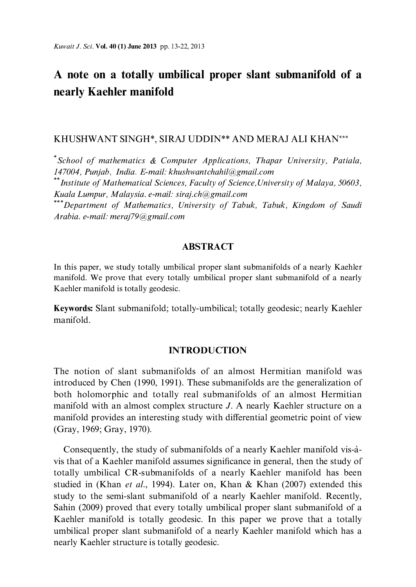# A note on a totally umbilical proper slant submanifold of a nearly Kaehler manifold

# KHUSHWANT SINGH\*, SIRAJ UDDIN\*\* AND MERAJ ALI KHAN\*\*\*

 $\checkmark$ School of mathematics & Computer Applications, Thapar University, Patiala, 147004. Punjab, India. E-mail: khushwantchahil@gmail.com

\*\*Institute of Mathematical Sciences, Faculty of Science, University of Malaya, 50603, Kuala Lumpur, Malaysia. e-mail: siraj.ch@gmail.com

\*\*Department of Mathematics, University of Tabuk, Tabuk, Kingdom of Saudi Arabia. e-mail: meraj79@gmail.com

# **ABSTRACT**

In this paper, we study totally umbilical proper slant submanifolds of a nearly Kaehler manifold. We prove that every totally umbilical proper slant submanifold of a nearly Kaehler manifold is totally geodesic.

Keywords: Slant submanifold; totally-umbilical; totally geodesic; nearly Kaehler manifold.

# **INTRODUCTION**

The notion of slant submanifolds of an almost Hermitian manifold was introduced by Chen (1990, 1991). These submanifolds are the generalization of both holomorphic and totally real submanifolds of an almost Hermitian manifold with an almost complex structure J. A nearly Kaehler structure on a manifold provides an interesting study with differential geometric point of view (Gray, 1969; Gray, 1970).

Consequently, the study of submanifolds of a nearly Kaehler manifold vis-àvis that of a Kaehler manifold assumes significance in general, then the study of totally umbilical CR-submanifolds of a nearly Kaehler manifold has been studied in (Khan et al., 1994). Later on, Khan & Khan (2007) extended this study to the semi-slant submanifold of a nearly Kaehler manifold. Recently, Sahin (2009) proved that every totally umbilical proper slant submanifold of a Kaehler manifold is totally geodesic. In this paper we prove that a totally umbilical proper slant submanifold of a nearly Kaehler manifold which has a nearly Kaehler structure is totally geodesic.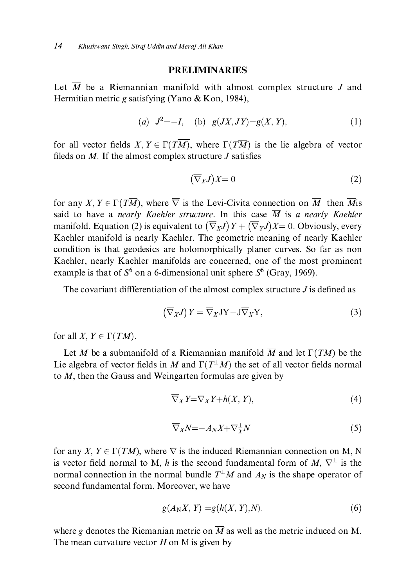## **PRELIMINARIES**

Let  $\overline{M}$  be a Riemannian manifold with almost complex structure J and Hermitian metric g satisfying (Yano & Kon, 1984).

(a) 
$$
J^2 = -I
$$
, (b)  $g(JX, JY) = g(X, Y)$ , (1)

for all vector fields X,  $Y \in \Gamma(T\overline{M})$ , where  $\Gamma(T\overline{M})$  is the lie algebra of vector fileds on  $\overline{M}$ . If the almost complex structure *J* satisfies

$$
\left(\overline{\nabla}_X J\right) X = 0 \tag{2}
$$

for any X,  $Y \in \Gamma(T\overline{M})$ , where  $\overline{\nabla}$  is the Levi-Civita connection on  $\overline{M}$  then  $\overline{M}$  is said to have a nearly Kaehler structure. In this case  $\overline{M}$  is a nearly Kaehler manifold. Equation (2) is equivalent to  $(\overline{\nabla}_X J) Y + (\overline{\nabla}_Y J) X = 0$ . Obviously, every Kaehler manifold is nearly Kaehler. The geometric meaning of nearly Kaehler condition is that geodesics are holomorphically planer curves. So far as non Kaehler, nearly Kaehler manifolds are concerned, one of the most prominent example is that of  $S^6$  on a 6-dimensional unit sphere  $S^6$  (Gray, 1969).

The covariant differentiation of the almost complex structure  $J$  is defined as

$$
\left(\overline{\nabla}_X J\right) Y = \overline{\nabla}_X J Y - J \overline{\nabla}_X Y,\tag{3}
$$

for all X,  $Y \in \Gamma(T\overline{M})$ .

Let M be a submanifold of a Riemannian manifold  $\overline{M}$  and let  $\Gamma(TM)$  be the Lie algebra of vector fields in M and  $\Gamma(T^{\perp}M)$  the set of all vector fields normal to  $M$ , then the Gauss and Weingarten formulas are given by

$$
\overline{\nabla}_X Y = \nabla_X Y + h(X, Y),\tag{4}
$$

$$
\overline{\nabla}_X N = -A_N X + \nabla_X^{\perp} N \tag{5}
$$

for any X,  $Y \in \Gamma(TM)$ , where  $\nabla$  is the induced Riemannian connection on M, N is vector field normal to M, h is the second fundamental form of M,  $\nabla^{\perp}$  is the normal connection in the normal bundle  $T^{\perp}M$  and  $A_N$  is the shape operator of second fundamental form. Moreover, we have

$$
g(A_N X, Y) = g(h(X, Y), N). \tag{6}
$$

where g denotes the Riemanian metric on  $\overline{M}$  as well as the metric induced on M. The mean curvature vector  $H$  on M is given by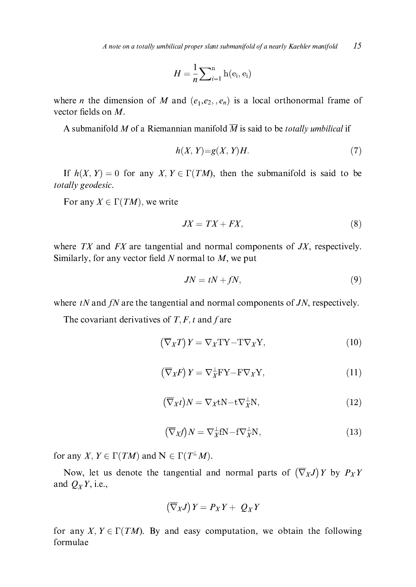$15$ A note on a totally umbilical proper slant submanifold of a nearly Kaehler manifold

$$
H = \frac{1}{n} \sum_{i=1}^{n} h(e_i, e_i)
$$

where *n* the dimension of *M* and  $(e_1,e_2, e_n)$  is a local orthonormal frame of vector fields on  $M$ .

A submanifold M of a Riemannian manifold  $\overline{M}$  is said to be *totally umbilical* if

$$
h(X, Y) = g(X, Y)H.
$$
\n<sup>(7)</sup>

If  $h(X, Y) = 0$  for any  $X, Y \in \Gamma(TM)$ , then the submanifold is said to be totally geodesic.

For any  $X \in \Gamma(TM)$ , we write

$$
JX = TX + FX,\tag{8}
$$

where  $TX$  and  $FX$  are tangential and normal components of  $JX$ , respectively. Similarly, for any vector field  $N$  normal to  $M$ , we put

$$
JN = tN + fN,\tag{9}
$$

where  $tN$  and  $fN$  are the tangential and normal components of  $JN$ , respectively.

The covariant derivatives of  $T, F, t$  and f are

$$
\left(\overline{\nabla}_X T\right) Y = \nabla_X T Y - T \nabla_X Y,\tag{10}
$$

$$
\left(\overline{\nabla}_X F\right) Y = \nabla_X^{\perp} F Y - F \nabla_X Y,\tag{11}
$$

$$
(\overline{\nabla}_X t)N = \nabla_X tN - t\nabla_X^{\perp} N,\tag{12}
$$

$$
(\overline{\nabla}_X f)N = \nabla_X^{\perp} fN - f \nabla_X^{\perp} N,\tag{13}
$$

for any X,  $Y \in \Gamma(TM)$  and  $N \in \Gamma(T^{\perp}M)$ .

Now, let us denote the tangential and normal parts of  $(\overline{\nabla}_X J) Y$  by  $P_X Y$ and  $Q_XY$ , i.e.,

$$
\left(\overline{\nabla}_X J\right) Y = P_X Y + Q_X Y
$$

for any X,  $Y \in \Gamma(TM)$ . By and easy computation, we obtain the following formulae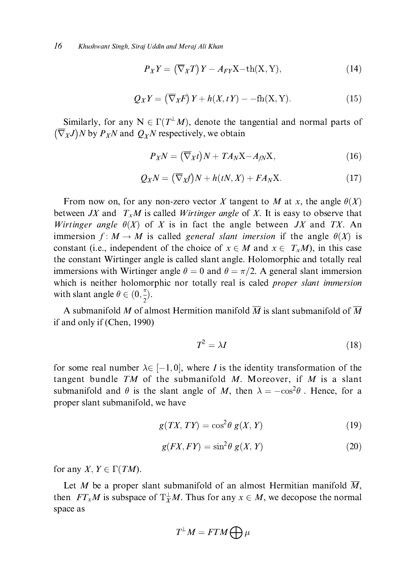$$
P_X Y = (\overline{\nabla}_X T) Y - A_{FY} X - th(X, Y), \qquad (14)
$$

$$
Q_X Y = (\overline{\nabla}_X F) Y + h(X, tY) - -\text{fh}(X, Y). \tag{15}
$$

Similarly, for any  $N \in \Gamma(T^{\perp}M)$ , denote the tangential and normal parts of  $(\overline{\nabla}_X J)N$  by  $P_X N$  and  $Q_X N$  respectively, we obtain

$$
P_X N = (\overline{\nabla}_X t) N + T A_N X - A_{fN} X, \qquad (16)
$$

$$
Q_X N = (\overline{\nabla}_X f) N + h(tN, X) + FA_N X.
$$
 (17)

From now on, for any non-zero vector X tangent to M at x, the angle  $\theta(X)$ between JX and  $T_xM$  is called Wirtinger angle of X. It is easy to observe that Wirtinger angle  $\theta(X)$  of X is in fact the angle between JX and TX. An immersion  $f: M \to M$  is called *general slant imersion* if the angle  $\theta(X)$  is constant (i.e., independent of the choice of  $x \in M$  and  $x \in T_xM$ ), in this case the constant Wirtinger angle is called slant angle. Holomorphic and totally real immersions with Wirtinger angle  $\theta = 0$  and  $\theta = \pi/2$ . A general slant immersion which is neither holomorphic nor totally real is caled *proper slant immersion* with slant angle  $\theta \in (0, \frac{\pi}{2})$ .

A submanifold M of almost Hermition manifold  $\overline{M}$  is slant submanifold of  $\overline{M}$ if and only if (Chen, 1990)

$$
T^2 = \lambda I \tag{18}
$$

for some real number  $\lambda \in [-1,0]$ , where I is the identity transformation of the tangent bundle  $TM$  of the submanifold M. Moreover, if M is a slant submanifold and  $\theta$  is the slant angle of M, then  $\lambda = -\cos^2\theta$ . Hence, for a proper slant submanifold, we have

$$
g(TX, TY) = \cos^2 \theta \ g(X, Y) \tag{19}
$$

$$
g(FX, FY) = \sin^2 \theta \ g(X, Y) \tag{20}
$$

for any X,  $Y \in \Gamma(TM)$ .

Let M be a proper slant submanifold of an almost Hermitian manifold  $\overline{M}$ , then  $FT_xM$  is subspace of  $T_x^{\perp}M$ . Thus for any  $x \in M$ , we decopose the normal space as

$$
T^\perp M = FTM \bigoplus \mu
$$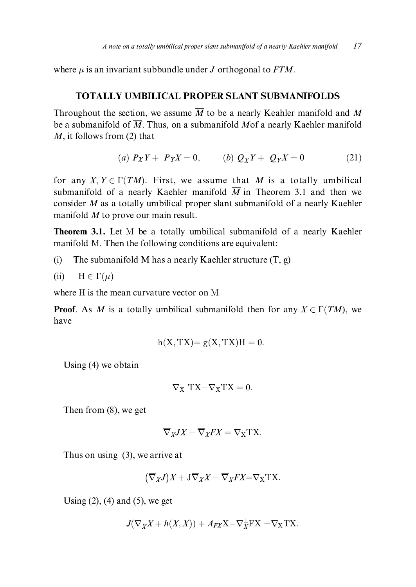where  $\mu$  is an invariant subbundle under J orthogonal to FTM.

### **TOTALLY UMBILICAL PROPER SLANT SUBMANIFOLDS**

Throughout the section, we assume  $\overline{M}$  to be a nearly Keahler manifold and M be a submanifold of  $\overline{M}$ . Thus, on a submanifold Mof a nearly Kaehler manifold  $\overline{M}$ , it follows from (2) that

(a) 
$$
P_X Y + P_Y X = 0
$$
, (b)  $Q_Y Y + Q_Y X = 0$  (21)

for any  $X, Y \in \Gamma(TM)$ . First, we assume that M is a totally umbilical submanifold of a nearly Kaehler manifold  $\overline{M}$  in Theorem 3.1 and then we consider  $M$  as a totally umbilical proper slant submanifold of a nearly Kaehler manifold  $\overline{M}$  to prove our main result.

**Theorem 3.1.** Let M be a totally umbilical submanifold of a nearly Kaehler manifold  $\overline{M}$ . Then the following conditions are equivalent:

The submanifold M has a nearly Kaehler structure  $(T, g)$  $(i)$ 

(ii) 
$$
H \in \Gamma(\mu)
$$

where H is the mean curvature vector on M.

**Proof.** As M is a totally umbilical submanifold then for any  $X \in \Gamma(TM)$ , we have

$$
h(X, TX) = g(X, TX)H = 0.
$$

Using  $(4)$  we obtain

$$
\overline{\nabla}_{X} T X - \nabla_{X} T X = 0.
$$

Then from  $(8)$ , we get

$$
\overline{\nabla}_X JX - \overline{\nabla}_X FX = \nabla_X TX.
$$

Thus on using  $(3)$ , we arrive at

$$
(\overline{\nabla}_X J)X + J\overline{\nabla}_X X - \overline{\nabla}_X FX = \nabla_X TX.
$$

Using  $(2)$ ,  $(4)$  and  $(5)$ , we get

$$
J(\nabla_X X + h(X, X)) + A_{FX}X - \nabla_X^{\perp} FX = \nabla_X TX.
$$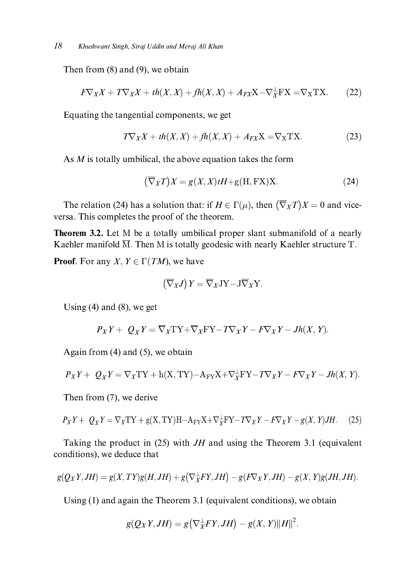Then from  $(8)$  and  $(9)$ , we obtain

$$
F\nabla_X X + T\nabla_X X + th(X, X) + fh(X, X) + A_{FX}X - \nabla_X^{\perp} FX = \nabla_X TX.
$$
 (22)

Equating the tangential components, we get

$$
T\nabla_X X + th(X, X) + fh(X, X) + A_{FX}X = \nabla_X TX.
$$
 (23)

As  $M$  is totally umbilical, the above equation takes the form

$$
(\overline{\nabla}_X T)X = g(X, X)tH + g(H, FX)X.
$$
 (24)

The relation (24) has a solution that: if  $H \in \Gamma(\mu)$ , then  $(\overline{\nabla}_X T)X = 0$  and viceversa. This completes the proof of the theorem.

**Theorem 3.2.** Let M be a totally umbilical proper slant submanifold of a nearly Kaehler manifold  $\overline{M}$ . Then M is totally geodesic with nearly Kaehler structure T.

**Proof.** For any X,  $Y \in \Gamma(TM)$ , we have

$$
\left(\overline{\nabla}_X J\right) Y = \overline{\nabla}_X J Y - J \overline{\nabla}_X Y.
$$

Using  $(4)$  and  $(8)$ , we get

$$
P_X Y + Q_X Y = \overline{\nabla}_X T Y + \overline{\nabla}_X F Y - T \nabla_X Y - F \nabla_X Y - Jh(X, Y).
$$

Again from  $(4)$  and  $(5)$ , we obtain

$$
P_XY + Q_XY = \nabla_XTY + h(X, TY) - A_{YY}X + \nabla_X^{\perp}FY - T\nabla_XY - F\nabla_XY - Jh(X, Y).
$$

Then from (7), we derive

$$
P_X Y + Q_X Y = \nabla_X TY + g(X, TY)H - A_{YY} X + \nabla_X^{\perp} FY - T\nabla_X Y - F\nabla_X Y - g(X, Y)JH.
$$
 (25)

Taking the product in  $(25)$  with JH and using the Theorem 3.1 (equivalent conditions), we deduce that

$$
g(Q_XY, JH) = g(X, TY)g(H, JH) + g(\nabla_X^{\perp} FY, JH) - g(F\nabla_X Y, JH) - g(X, Y)g(JH, JH).
$$

Using  $(1)$  and again the Theorem 3.1 (equivalent conditions), we obtain

$$
g(Q_XY, JH) = g(\nabla_X^{\perp} FY, JH) - g(X, Y)||H||^2.
$$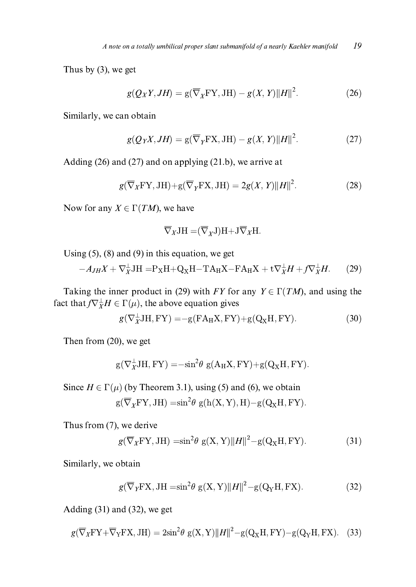Thus by  $(3)$ , we get

$$
g(Q_XY, JH) = g(\overline{\nabla}_X FY, JH) - g(X, Y)||H||^2.
$$
 (26)

Similarly, we can obtain

$$
g(Q_YX, JH) = g(\overline{\nabla}_Y \mathbf{FX}, JH) - g(X, Y) ||H||^2.
$$
 (27)

Adding  $(26)$  and  $(27)$  and on applying  $(21.b)$ , we arrive at

$$
g(\overline{\nabla}_X \mathbf{F} \mathbf{Y}, \mathbf{J} \mathbf{H}) + \mathbf{g}(\overline{\nabla}_Y \mathbf{F} \mathbf{X}, \mathbf{J} \mathbf{H}) = 2g(X, Y) ||H||^2.
$$
 (28)

Now for any  $X \in \Gamma(TM)$ , we have

$$
\overline{\nabla}_X \mathbf{J} \mathbf{H} = (\overline{\nabla}_X \mathbf{J}) \mathbf{H} + \mathbf{J} \overline{\nabla}_X \mathbf{H}.
$$

Using  $(5)$ ,  $(8)$  and  $(9)$  in this equation, we get

$$
-A_{JH}X + \nabla_X^{\perp} JH = P_X H + Q_X H - T A_H X - F A_H X + t \nabla_X^{\perp} H + f \nabla_X^{\perp} H. \tag{29}
$$

Taking the inner product in (29) with FY for any  $Y \in \Gamma(TM)$ , and using the fact that  $f\nabla_{X}^{\perp}H \in \Gamma(\mu)$ , the above equation gives

$$
g(\nabla_X^{\perp} JH, FY) = -g(FA_H X, FY) + g(Q_X H, FY).
$$
\n(30)

Then from  $(20)$ , we get

$$
g(\nabla_X^{\perp} JH, FY) = -\sin^2 \theta \ g(A_H X, FY) + g(Q_X H, FY).
$$

Since  $H \in \Gamma(\mu)$  (by Theorem 3.1), using (5) and (6), we obtain

$$
g(\overline{\nabla}_X FY, JH) = \sin^2 \theta g(h(X, Y), H) - g(Q_X H, FY).
$$

Thus from (7), we derive

$$
g(\overline{\nabla}_X \mathbf{F} \mathbf{Y}, \mathbf{J} \mathbf{H}) = \sin^2 \theta \ g(\mathbf{X}, \mathbf{Y}) ||\mathbf{H}||^2 - g(\mathbf{Q}_X \mathbf{H}, \mathbf{F} \mathbf{Y}). \tag{31}
$$

Similarly, we obtain

$$
g(\overline{\nabla}_Y \mathbf{F} \mathbf{X}, \mathbf{J} \mathbf{H} = \sin^2 \theta \mathbf{g}(\mathbf{X}, \mathbf{Y}) \|H\|^2 - \mathbf{g}(\mathbf{Q}_Y \mathbf{H}, \mathbf{F} \mathbf{X}).
$$
 (32)

Adding  $(31)$  and  $(32)$ , we get

$$
g(\overline{\nabla}_X \mathbf{F} \mathbf{Y} + \overline{\nabla}_Y \mathbf{F} \mathbf{X}, \mathbf{J} \mathbf{H}) = 2\sin^2 \theta \ g(\mathbf{X}, \mathbf{Y}) ||H||^2 - g(\mathbf{Q}_X \mathbf{H}, \mathbf{F} \mathbf{Y}) - g(\mathbf{Q}_Y \mathbf{H}, \mathbf{F} \mathbf{X}). \tag{33}
$$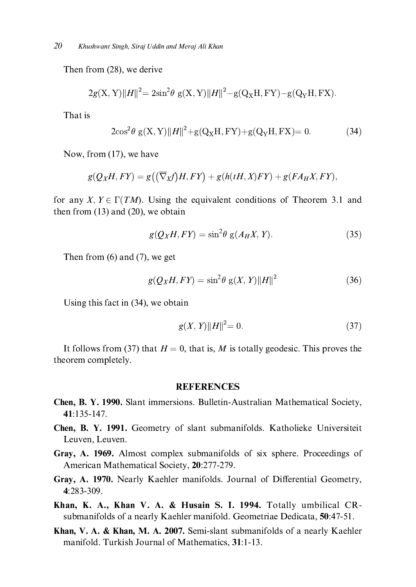Then from  $(28)$ , we derive

$$
2g(X, Y)||H||^{2} = 2\sin^{2}\theta \ g(X, Y)||H||^{2} - g(Q_{X}H, FY) - g(Q_{Y}H, FX).
$$

That is

$$
2\cos^{2}\theta \, g(X,Y)||H||^{2} + g(Q_{X}H, FY) + g(Q_{Y}H, FX) = 0. \tag{34}
$$

Now, from  $(17)$ , we have

$$
g(Q_XH, FY) = g((\overline{\nabla}_X f)H, FY) + g(h(tH, X)FY) + g(FA_HX, FY),
$$

for any X,  $Y \in \Gamma(TM)$ . Using the equivalent conditions of Theorem 3.1 and then from  $(13)$  and  $(20)$ , we obtain

$$
g(Q_XH, FY) = \sin^2\theta \ g(A_HX, Y). \tag{35}
$$

Then from  $(6)$  and  $(7)$ , we get

$$
g(Q_XH, FY) = \sin^2\theta \ g(X, Y) ||H||^2 \tag{36}
$$

Using this fact in  $(34)$ , we obtain

$$
g(X,Y)\|H\|^2 = 0.\tag{37}
$$

It follows from (37) that  $H = 0$ , that is, M is totally geodesic. This proves the theorem completely.

#### **REFERENCES**

- Chen, B. Y. 1990. Slant immersions. Bulletin-Australian Mathematical Society, 41:135-147.
- Chen, B. Y. 1991. Geometry of slant submanifolds. Katholieke Universiteit Leuven, Leuven.
- Gray, A. 1969. Almost complex submanifolds of six sphere. Proceedings of American Mathematical Society, 20:277-279.
- Gray, A. 1970. Nearly Kaehler manifolds. Journal of Differential Geometry, 4:283-309.
- Khan, K. A., Khan V. A. & Husain S. I. 1994. Totally umbilical CRsubmanifolds of a nearly Kaehler manifold. Geometriae Dedicata, 50:47-51.
- Khan, V. A. & Khan, M. A. 2007. Semi-slant submanifolds of a nearly Kaehler manifold. Turkish Journal of Mathematics, 31:1-13.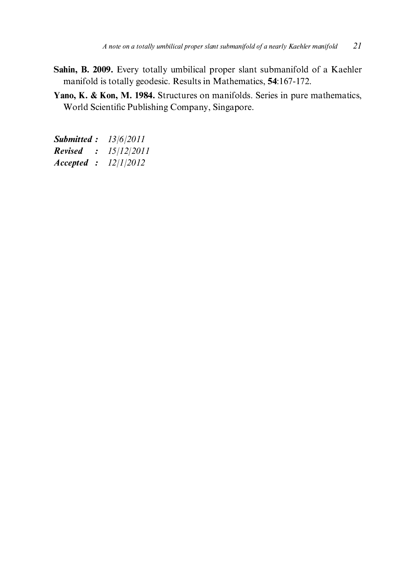- Sahin, B. 2009. Every totally umbilical proper slant submanifold of a Kaehler manifold is totally geodesic. Results in Mathematics, 54:167-172.
- Yano, K. & Kon, M. 1984. Structures on manifolds. Series in pure mathematics, World Scientific Publishing Company, Singapore.

**Submitted:** 13/6/2011 :  $15/12/2011$ **Revised** Accepted :  $12/1/2012$